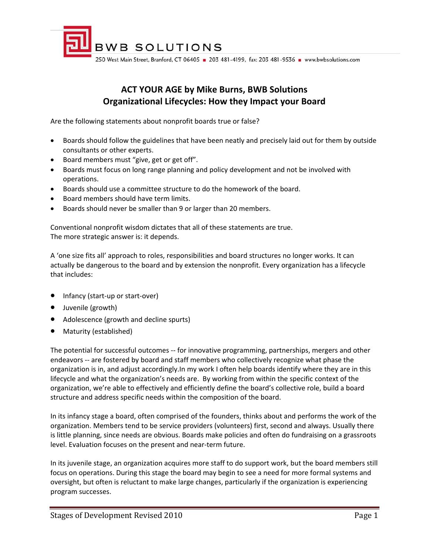

# **ACT YOUR AGE by Mike Burns, BWB Solutions Organizational Lifecycles: How they Impact your Board**

Are the following statements about nonprofit boards true or false?

- Boards should follow the guidelines that have been neatly and precisely laid out for them by outside consultants or other experts.
- Board members must "give, get or get off".
- Boards must focus on long range planning and policy development and not be involved with operations.
- Boards should use a committee structure to do the homework of the board.
- Board members should have term limits.
- Boards should never be smaller than 9 or larger than 20 members.

Conventional nonprofit wisdom dictates that all of these statements are true. The more strategic answer is: it depends.

A 'one size fits all' approach to roles, responsibilities and board structures no longer works. It can actually be dangerous to the board and by extension the nonprofit. Every organization has a lifecycle that includes:

- Infancy (start-up or start-over)
- Juvenile (growth)
- Adolescence (growth and decline spurts)
- Maturity (established)

The potential for successful outcomes ‐‐ for innovative programming, partnerships, mergers and other endeavors -- are fostered by board and staff members who collectively recognize what phase the organization is in, and adjust accordingly.In my work I often help boards identify where they are in this lifecycle and what the organization's needs are. By working from within the specific context of the organization, we're able to effectively and efficiently define the board's collective role, build a board structure and address specific needs within the composition of the board.

In its infancy stage a board, often comprised of the founders, thinks about and performs the work of the organization. Members tend to be service providers (volunteers) first, second and always. Usually there is little planning, since needs are obvious. Boards make policies and often do fundraising on a grassroots level. Evaluation focuses on the present and near-term future.

In its juvenile stage, an organization acquires more staff to do support work, but the board members still focus on operations. During this stage the board may begin to see a need for more formal systems and oversight, but often is reluctant to make large changes, particularly if the organization is experiencing program successes.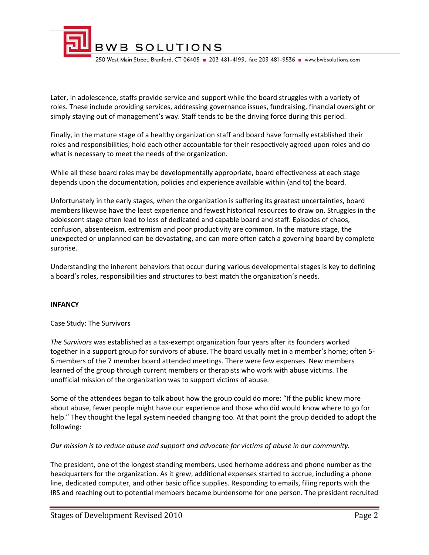

Later, in adolescence, staffs provide service and support while the board struggles with a variety of roles. These include providing services, addressing governance issues, fundraising, financial oversight or simply staying out of management's way. Staff tends to be the driving force during this period.

Finally, in the mature stage of a healthy organization staff and board have formally established their roles and responsibilities; hold each other accountable for their respectively agreed upon roles and do what is necessary to meet the needs of the organization.

While all these board roles may be developmentally appropriate, board effectiveness at each stage depends upon the documentation, policies and experience available within (and to) the board.

Unfortunately in the early stages, when the organization is suffering its greatest uncertainties, board members likewise have the least experience and fewest historical resources to draw on. Struggles in the adolescent stage often lead to loss of dedicated and capable board and staff. Episodes of chaos, confusion, absenteeism, extremism and poor productivity are common. In the mature stage, the unexpected or unplanned can be devastating, and can more often catch a governing board by complete surprise.

Understanding the inherent behaviors that occur during various developmental stages is key to defining a board's roles, responsibilities and structures to best match the organization's needs.

#### **INFANCY**

#### Case Study: The Survivors

*The Survivors* was established as a tax‐exempt organization four years after its founders worked together in a support group for survivors of abuse. The board usually met in a member's home; often 5‐ 6 members of the 7 member board attended meetings. There were few expenses. New members learned of the group through current members or therapists who work with abuse victims. The unofficial mission of the organization was to support victims of abuse.

Some of the attendees began to talk about how the group could do more: "If the public knew more about abuse, fewer people might have our experience and those who did would know where to go for help." They thought the legal system needed changing too. At that point the group decided to adopt the following:

#### *Our mission is to reduce abuse and support and advocate for victims of abuse in our community.*

The president, one of the longest standing members, used herhome address and phone number as the headquarters for the organization. As it grew, additional expenses started to accrue, including a phone line, dedicated computer, and other basic office supplies. Responding to emails, filing reports with the IRS and reaching out to potential members became burdensome for one person. The president recruited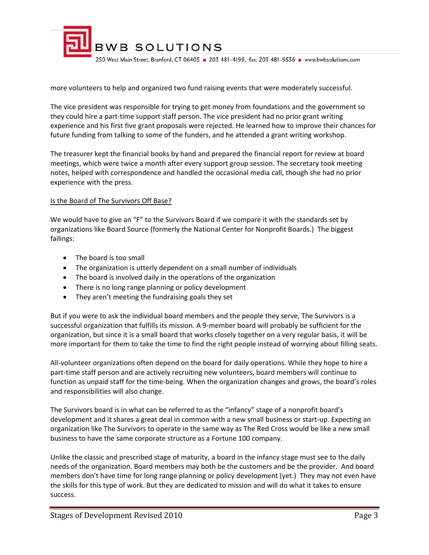

more volunteers to help and organized two fund raising events that were moderately successful.

The vice president was responsible for trying to get money from foundations and the government so they could hire a part‐time support staff person. The vice president had no prior grant writing experience and his first five grant proposals were rejected. He learned how to improve their chances for future funding from talking to some of the funders, and he attended a grant writing workshop.

The treasurer kept the financial books by hand and prepared the financial report for review at board meetings, which were twice a month after every support group session. The secretary took meeting notes, helped with correspondence and handled the occasional media call, though she had no prior experience with the press.

#### Is the Board of The Survivors Off Base?

We would have to give an "F" to the Survivors Board if we compare it with the standards set by organizations like Board Source (formerly the National Center for Nonprofit Boards.) The biggest failings:

- The board is too small
- The organization is utterly dependent on a small number of individuals
- The board is involved daily in the operations of the organization
- There is no long range planning or policy development
- They aren't meeting the fundraising goals they set

But if you were to ask the individual board members and the people they serve, The Survivors is a successful organization that fulfills its mission. A 9‐member board will probably be sufficient for the organization, but since it is a small board that works closely together on a very regular basis, it will be more important for them to take the time to find the right people instead of worrying about filling seats.

All-volunteer organizations often depend on the board for daily operations. While they hope to hire a part-time staff person and are actively recruiting new volunteers, board members will continue to function as unpaid staff for the time‐being. When the organization changes and grows, the board's roles and responsibilities will also change.

The Survivors board is in what can be referred to as the "infancy" stage of a nonprofit board's development and it shares a great deal in common with a new small business or start‐up. Expecting an organization like The Survivors to operate in the same way as The Red Cross would be like a new small business to have the same corporate structure as a Fortune 100 company.

Unlike the classic and prescribed stage of maturity, a board in the infancy stage must see to the daily needs of the organization. Board members may both be the customers and be the provider. And board members don't have time for long range planning or policy development (yet.) They may not even have the skills for this type of work. But they are dedicated to mission and will do what it takes to ensure success.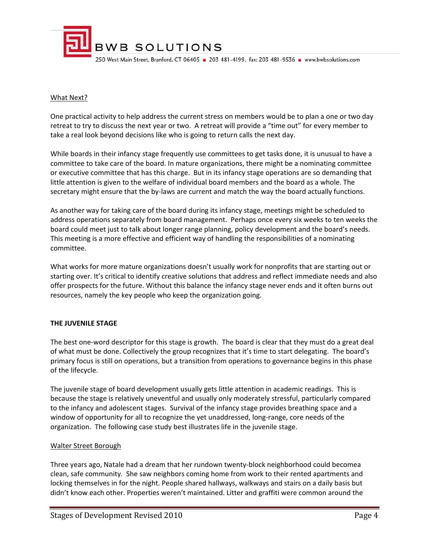

### What Next?

One practical activity to help address the current stress on members would be to plan a one or two day retreat to try to discuss the next year or two. A retreat will provide a "time out" for every member to take a real look beyond decisions like who is going to return calls the next day.

While boards in their infancy stage frequently use committees to get tasks done, it is unusual to have a committee to take care of the board. In mature organizations, there might be a nominating committee or executive committee that has this charge. But in its infancy stage operations are so demanding that little attention is given to the welfare of individual board members and the board as a whole. The secretary might ensure that the by-laws are current and match the way the board actually functions.

As another way for taking care of the board during its infancy stage, meetings might be scheduled to address operations separately from board management. Perhaps once every six weeks to ten weeks the board could meet just to talk about longer range planning, policy development and the board's needs. This meeting is a more effective and efficient way of handling the responsibilities of a nominating committee.

What works for more mature organizations doesn't usually work for nonprofits that are starting out or starting over. It's critical to identify creative solutions that address and reflect immediate needs and also offer prospects for the future. Without this balance the infancy stage never ends and it often burns out resources, namely the key people who keep the organization going.

## **THE JUVENILE STAGE**

The best one‐word descriptor for this stage is growth. The board is clear that they must do a great deal of what must be done. Collectively the group recognizes that it's time to start delegating. The board's primary focus is still on operations, but a transition from operations to governance begins in this phase of the lifecycle.

The juvenile stage of board development usually gets little attention in academic readings. This is because the stage is relatively uneventful and usually only moderately stressful, particularly compared to the infancy and adolescent stages. Survival of the infancy stage provides breathing space and a window of opportunity for all to recognize the yet unaddressed, long‐range, core needs of the organization. The following case study best illustrates life in the juvenile stage.

#### Walter Street Borough

Three years ago, Natale had a dream that her rundown twenty‐block neighborhood could becomea clean, safe community. She saw neighbors coming home from work to their rented apartments and locking themselves in for the night. People shared hallways, walkways and stairs on a daily basis but didn't know each other. Properties weren't maintained. Litter and graffiti were common around the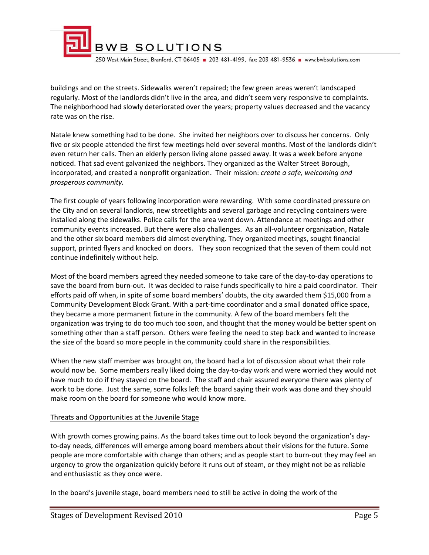

buildings and on the streets. Sidewalks weren't repaired; the few green areas weren't landscaped regularly. Most of the landlords didn't live in the area, and didn't seem very responsive to complaints. The neighborhood had slowly deteriorated over the years; property values decreased and the vacancy rate was on the rise.

Natale knew something had to be done. She invited her neighbors over to discuss her concerns. Only five or six people attended the first few meetings held over several months. Most of the landlords didn't even return her calls. Then an elderly person living alone passed away. It was a week before anyone noticed. That sad event galvanized the neighbors. They organized as the Walter Street Borough, incorporated, and created a nonprofit organization. Their mission: *create a safe, welcoming and prosperous community.*

The first couple of years following incorporation were rewarding. With some coordinated pressure on the City and on several landlords, new streetlights and several garbage and recycling containers were installed along the sidewalks. Police calls for the area went down. Attendance at meetings and other community events increased. But there were also challenges. As an all‐volunteer organization, Natale and the other six board members did almost everything. They organized meetings, sought financial support, printed flyers and knocked on doors. They soon recognized that the seven of them could not continue indefinitely without help.

Most of the board members agreed they needed someone to take care of the day‐to‐day operations to save the board from burn-out. It was decided to raise funds specifically to hire a paid coordinator. Their efforts paid off when, in spite of some board members' doubts, the city awarded them \$15,000 from a Community Development Block Grant. With a part‐time coordinator and a small donated office space, they became a more permanent fixture in the community. A few of the board members felt the organization was trying to do too much too soon, and thought that the money would be better spent on something other than a staff person. Others were feeling the need to step back and wanted to increase the size of the board so more people in the community could share in the responsibilities.

When the new staff member was brought on, the board had a lot of discussion about what their role would now be. Some members really liked doing the day-to-day work and were worried they would not have much to do if they stayed on the board. The staff and chair assured everyone there was plenty of work to be done. Just the same, some folks left the board saying their work was done and they should make room on the board for someone who would know more.

#### Threats and Opportunities at the Juvenile Stage

With growth comes growing pains. As the board takes time out to look beyond the organization's dayto-day needs, differences will emerge among board members about their visions for the future. Some people are more comfortable with change than others; and as people start to burn‐out they may feel an urgency to grow the organization quickly before it runs out of steam, or they might not be as reliable and enthusiastic as they once were.

In the board's juvenile stage, board members need to still be active in doing the work of the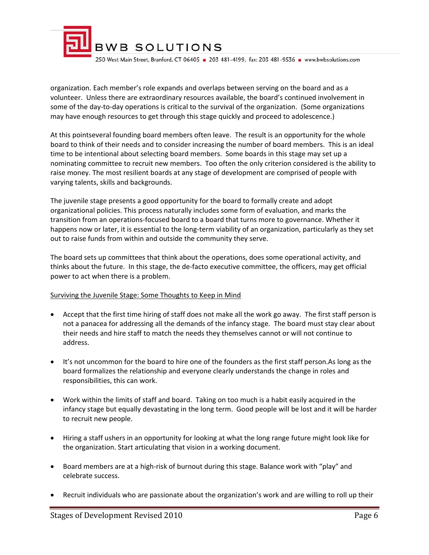

organization. Each member's role expands and overlaps between serving on the board and as a volunteer. Unless there are extraordinary resources available, the board's continued involvement in some of the day-to-day operations is critical to the survival of the organization. (Some organizations may have enough resources to get through this stage quickly and proceed to adolescence.)

At this pointseveral founding board members often leave. The result is an opportunity for the whole board to think of their needs and to consider increasing the number of board members. This is an ideal time to be intentional about selecting board members. Some boards in this stage may set up a nominating committee to recruit new members. Too often the only criterion considered is the ability to raise money. The most resilient boards at any stage of development are comprised of people with varying talents, skills and backgrounds.

The juvenile stage presents a good opportunity for the board to formally create and adopt organizational policies. This process naturally includes some form of evaluation, and marks the transition from an operations‐focused board to a board that turns more to governance. Whether it happens now or later, it is essential to the long-term viability of an organization, particularly as they set out to raise funds from within and outside the community they serve.

The board sets up committees that think about the operations, does some operational activity, and thinks about the future. In this stage, the de‐facto executive committee, the officers, may get official power to act when there is a problem.

#### Surviving the Juvenile Stage: Some Thoughts to Keep in Mind

- Accept that the first time hiring of staff does not make all the work go away. The first staff person is not a panacea for addressing all the demands of the infancy stage. The board must stay clear about their needs and hire staff to match the needs they themselves cannot or will not continue to address.
- It's not uncommon for the board to hire one of the founders as the first staff person.As long as the board formalizes the relationship and everyone clearly understands the change in roles and responsibilities, this can work.
- Work within the limits of staff and board. Taking on too much is a habit easily acquired in the infancy stage but equally devastating in the long term. Good people will be lost and it will be harder to recruit new people.
- Hiring a staff ushers in an opportunity for looking at what the long range future might look like for the organization. Start articulating that vision in a working document.
- Board members are at a high-risk of burnout during this stage. Balance work with "play" and celebrate success.
- Recruit individuals who are passionate about the organization's work and are willing to roll up their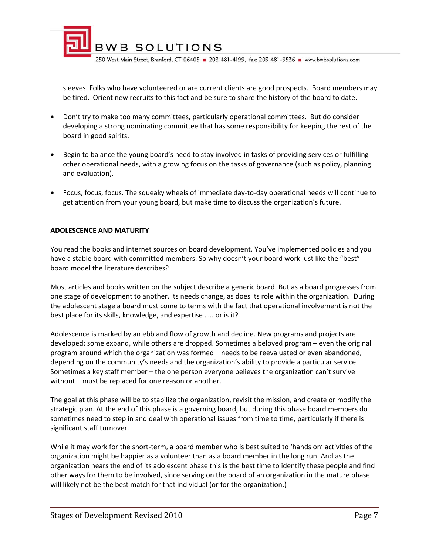

sleeves. Folks who have volunteered or are current clients are good prospects. Board members may be tired. Orient new recruits to this fact and be sure to share the history of the board to date.

- Don't try to make too many committees, particularly operational committees. But do consider developing a strong nominating committee that has some responsibility for keeping the rest of the board in good spirits.
- Begin to balance the young board's need to stay involved in tasks of providing services or fulfilling other operational needs, with a growing focus on the tasks of governance (such as policy, planning and evaluation).
- Focus, focus, focus. The squeaky wheels of immediate day‐to‐day operational needs will continue to get attention from your young board, but make time to discuss the organization's future.

#### **ADOLESCENCE AND MATURITY**

You read the books and internet sources on board development. You've implemented policies and you have a stable board with committed members. So why doesn't your board work just like the "best" board model the literature describes?

Most articles and books written on the subject describe a generic board. But as a board progresses from one stage of development to another, its needs change, as does its role within the organization. During the adolescent stage a board must come to terms with the fact that operational involvement is not the best place for its skills, knowledge, and expertise ….. or is it?

Adolescence is marked by an ebb and flow of growth and decline. New programs and projects are developed; some expand, while others are dropped. Sometimes a beloved program – even the original program around which the organization was formed – needs to be reevaluated or even abandoned, depending on the community's needs and the organization's ability to provide a particular service. Sometimes a key staff member – the one person everyone believes the organization can't survive without – must be replaced for one reason or another.

The goal at this phase will be to stabilize the organization, revisit the mission, and create or modify the strategic plan. At the end of this phase is a governing board, but during this phase board members do sometimes need to step in and deal with operational issues from time to time, particularly if there is significant staff turnover.

While it may work for the short-term, a board member who is best suited to 'hands on' activities of the organization might be happier as a volunteer than as a board member in the long run. And as the organization nears the end of its adolescent phase this is the best time to identify these people and find other ways for them to be involved, since serving on the board of an organization in the mature phase will likely not be the best match for that individual (or for the organization.)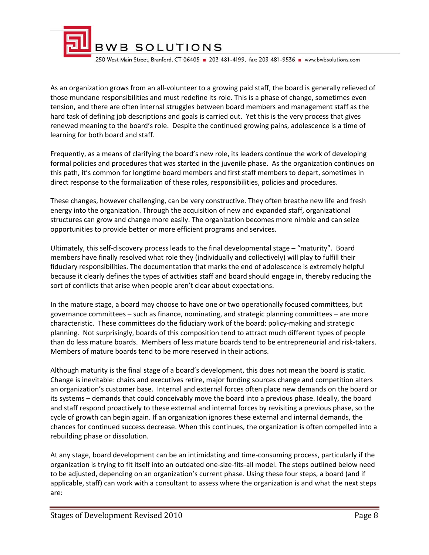

As an organization grows from an all‐volunteer to a growing paid staff, the board is generally relieved of those mundane responsibilities and must redefine its role. This is a phase of change, sometimes even tension, and there are often internal struggles between board members and management staff as the hard task of defining job descriptions and goals is carried out. Yet this is the very process that gives renewed meaning to the board's role. Despite the continued growing pains, adolescence is a time of learning for both board and staff.

Frequently, as a means of clarifying the board's new role, its leaders continue the work of developing formal policies and procedures that was started in the juvenile phase. As the organization continues on this path, it's common for longtime board members and first staff members to depart, sometimes in direct response to the formalization of these roles, responsibilities, policies and procedures.

These changes, however challenging, can be very constructive. They often breathe new life and fresh energy into the organization. Through the acquisition of new and expanded staff, organizational structures can grow and change more easily. The organization becomes more nimble and can seize opportunities to provide better or more efficient programs and services.

Ultimately, this self‐discovery process leads to the final developmental stage – "maturity". Board members have finally resolved what role they (individually and collectively) will play to fulfill their fiduciary responsibilities. The documentation that marks the end of adolescence is extremely helpful because it clearly defines the types of activities staff and board should engage in, thereby reducing the sort of conflicts that arise when people aren't clear about expectations.

In the mature stage, a board may choose to have one or two operationally focused committees, but governance committees – such as finance, nominating, and strategic planning committees – are more characteristic. These committees do the fiduciary work of the board: policy‐making and strategic planning. Not surprisingly, boards of this composition tend to attract much different types of people than do less mature boards. Members of less mature boards tend to be entrepreneurial and risk‐takers. Members of mature boards tend to be more reserved in their actions.

Although maturity is the final stage of a board's development, this does not mean the board is static. Change is inevitable: chairs and executives retire, major funding sources change and competition alters an organization's customer base. Internal and external forces often place new demands on the board or its systems – demands that could conceivably move the board into a previous phase. Ideally, the board and staff respond proactively to these external and internal forces by revisiting a previous phase, so the cycle of growth can begin again. If an organization ignores these external and internal demands, the chances for continued success decrease. When this continues, the organization is often compelled into a rebuilding phase or dissolution.

At any stage, board development can be an intimidating and time‐consuming process, particularly if the organization is trying to fit itself into an outdated one‐size‐fits‐all model. The steps outlined below need to be adjusted, depending on an organization's current phase. Using these four steps, a board (and if applicable, staff) can work with a consultant to assess where the organization is and what the next steps are: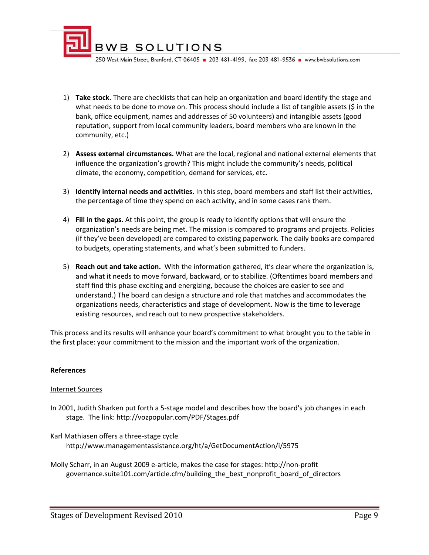

- 1) **Take stock.** There are checklists that can help an organization and board identify the stage and what needs to be done to move on. This process should include a list of tangible assets (\$ in the bank, office equipment, names and addresses of 50 volunteers) and intangible assets (good reputation, support from local community leaders, board members who are known in the community, etc.)
- 2) **Assess external circumstances.** What are the local, regional and national external elements that influence the organization's growth? This might include the community's needs, political climate, the economy, competition, demand for services, etc.
- 3) **Identify internal needs and activities.** In this step, board members and staff list their activities, the percentage of time they spend on each activity, and in some cases rank them.
- 4) **Fill in the gaps.** At this point, the group is ready to identify options that will ensure the organization's needs are being met. The mission is compared to programs and projects. Policies (if they've been developed) are compared to existing paperwork. The daily books are compared to budgets, operating statements, and what's been submitted to funders.
- 5) **Reach out and take action.** With the information gathered, it's clear where the organization is, and what it needs to move forward, backward, or to stabilize. (Oftentimes board members and staff find this phase exciting and energizing, because the choices are easier to see and understand.) The board can design a structure and role that matches and accommodates the organizations needs, characteristics and stage of development. Now is the time to leverage existing resources, and reach out to new prospective stakeholders.

This process and its results will enhance your board's commitment to what brought you to the table in the first place: your commitment to the mission and the important work of the organization.

#### **References**

#### Internet Sources

- In 2001, Judith Sharken put forth a 5‐stage model and describes how the board's job changes in each stage. The link: http://vozpopular.com/PDF/Stages.pdf
- Karl Mathiasen offers a three‐stage cycle http://www.managementassistance.org/ht/a/GetDocumentAction/i/5975
- Molly Scharr, in an August 2009 e‐article, makes the case for stages: http://non‐profit governance.suite101.com/article.cfm/building\_the\_best\_nonprofit\_board\_of\_directors